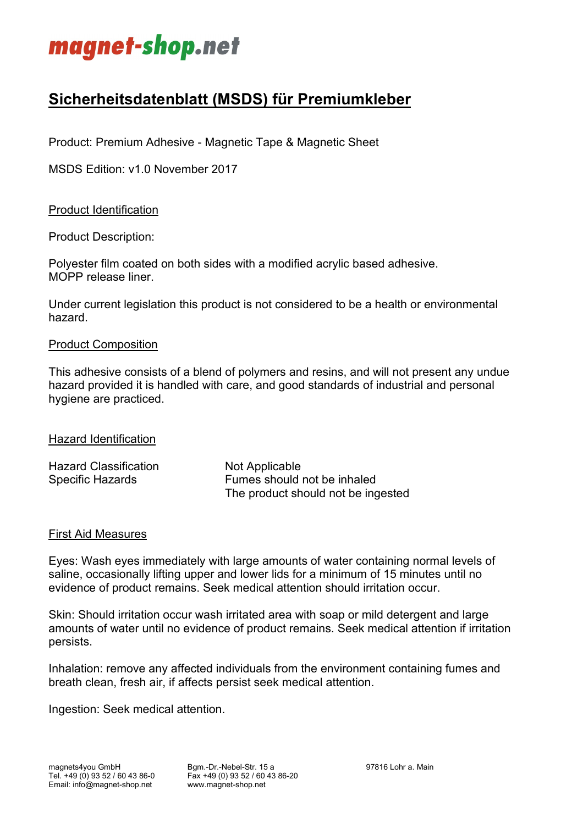

# **Sicherheitsdatenblatt (MSDS) für Premiumkleber**

Product: Premium Adhesive - Magnetic Tape & Magnetic Sheet

MSDS Edition: v1.0 November 2017

# Product Identification

Product Description:

Polyester film coated on both sides with a modified acrylic based adhesive. MOPP release liner.

Under current legislation this product is not considered to be a health or environmental hazard.

#### Product Composition

This adhesive consists of a blend of polymers and resins, and will not present any undue hazard provided it is handled with care, and good standards of industrial and personal hygiene are practiced.

#### Hazard Identification

| <b>Hazard Classification</b> | Not Applicable                     |
|------------------------------|------------------------------------|
| Specific Hazards             | Fumes should not be inhaled        |
|                              | The product should not be ingested |

#### First Aid Measures

Eyes: Wash eyes immediately with large amounts of water containing normal levels of saline, occasionally lifting upper and lower lids for a minimum of 15 minutes until no evidence of product remains. Seek medical attention should irritation occur.

Skin: Should irritation occur wash irritated area with soap or mild detergent and large amounts of water until no evidence of product remains. Seek medical attention if irritation persists.

Inhalation: remove any affected individuals from the environment containing fumes and breath clean, fresh air, if affects persist seek medical attention.

Ingestion: Seek medical attention.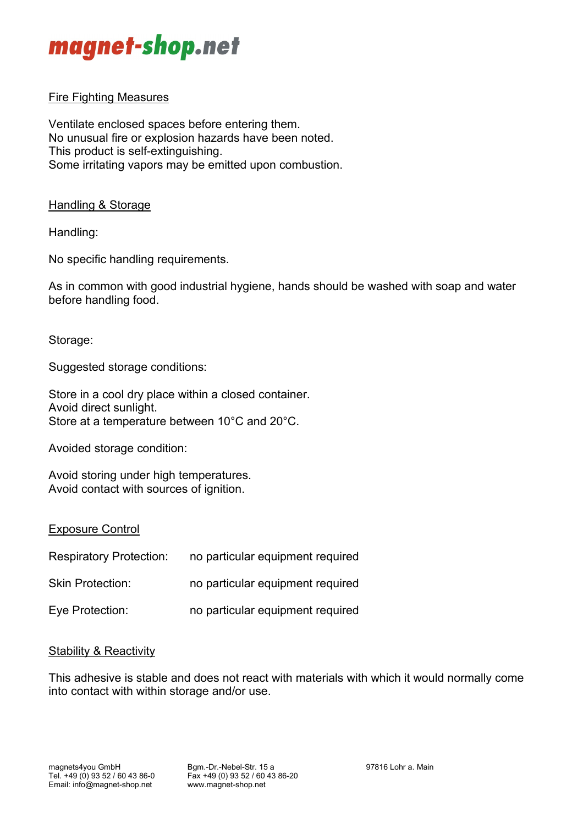

# Fire Fighting Measures

Ventilate enclosed spaces before entering them. No unusual fire or explosion hazards have been noted. This product is self-extinguishing. Some irritating vapors may be emitted upon combustion.

# Handling & Storage

Handling:

No specific handling requirements.

As in common with good industrial hygiene, hands should be washed with soap and water before handling food.

Storage:

Suggested storage conditions:

Store in a cool dry place within a closed container. Avoid direct sunlight. Store at a temperature between 10°C and 20°C.

Avoided storage condition:

Avoid storing under high temperatures. Avoid contact with sources of ignition.

#### Exposure Control

| <b>Respiratory Protection:</b> | no particular equipment required |
|--------------------------------|----------------------------------|
| <b>Skin Protection:</b>        | no particular equipment required |
| Eye Protection:                | no particular equipment required |

#### Stability & Reactivity

This adhesive is stable and does not react with materials with which it would normally come into contact with within storage and/or use.